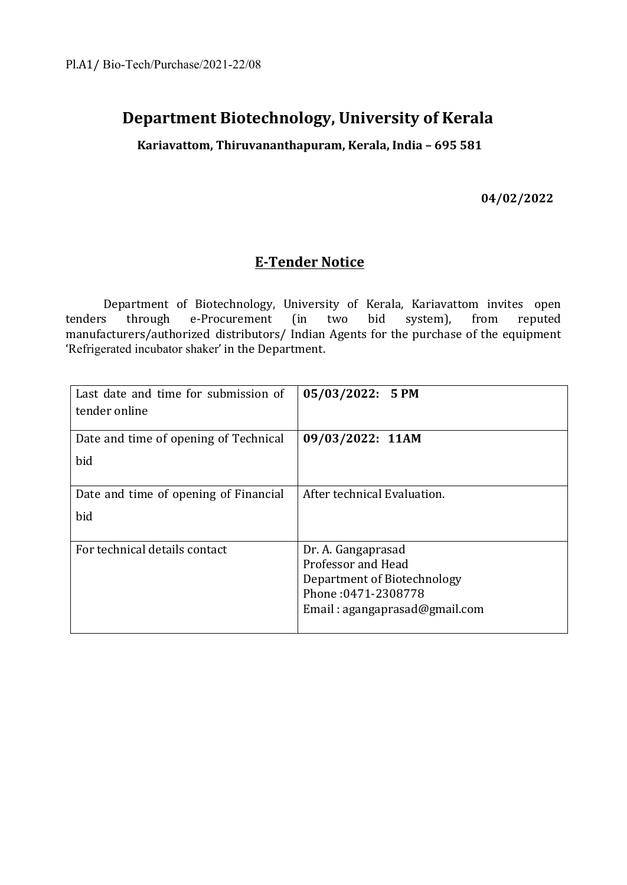# **Department Biotechnology, University of Kerala**

**Kariavattom, Thiruvananthapuram, Kerala, India – 695 581**

**04/02/2022**

## **E-Tender Notice**

Department of Biotechnology, University of Kerala, Kariavattom invites open tenders through e-Procurement (in two bid system), from reputed manufacturers/authorized distributors/ Indian Agents for the purchase of the equipment 'Refrigerated incubator shaker' in the Department.

| Last date and time for submission of<br>tender online | 05/03/2022: 5 PM              |
|-------------------------------------------------------|-------------------------------|
| Date and time of opening of Technical<br>bid          | 09/03/2022: 11AM              |
|                                                       |                               |
| Date and time of opening of Financial                 | After technical Evaluation.   |
| bid                                                   |                               |
| For technical details contact                         | Dr. A. Gangaprasad            |
|                                                       | Professor and Head            |
|                                                       | Department of Biotechnology   |
|                                                       | Phone: 0471-2308778           |
|                                                       | Email: agangaprasad@gmail.com |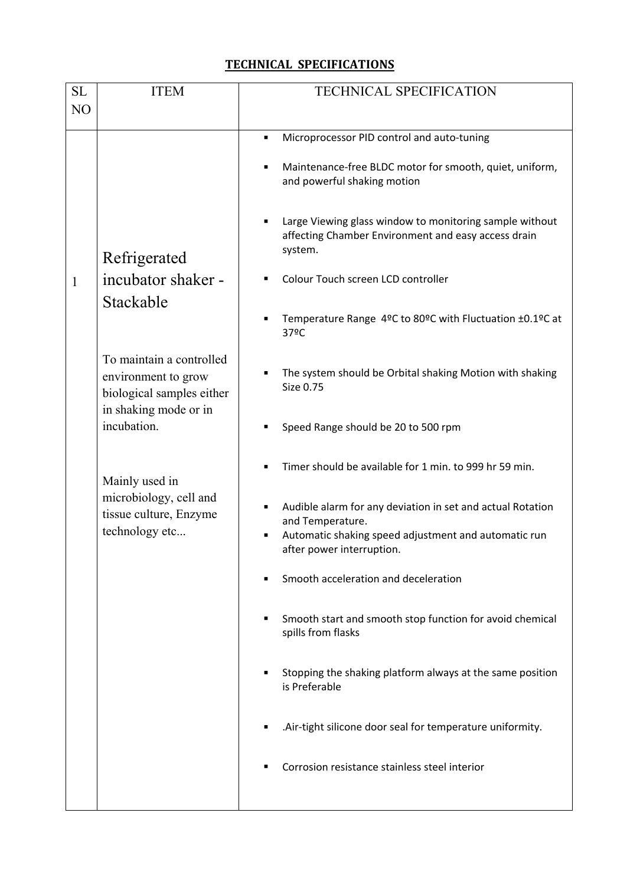### **TECHNICAL SPECIFICATIONS**

| SL<br>N <sub>O</sub> | <b>ITEM</b>                                                                          | <b>TECHNICAL SPECIFICATION</b>                                                                                                                                      |
|----------------------|--------------------------------------------------------------------------------------|---------------------------------------------------------------------------------------------------------------------------------------------------------------------|
|                      |                                                                                      |                                                                                                                                                                     |
|                      |                                                                                      | Microprocessor PID control and auto-tuning<br>٠                                                                                                                     |
|                      |                                                                                      | Maintenance-free BLDC motor for smooth, quiet, uniform,<br>and powerful shaking motion                                                                              |
|                      | Refrigerated                                                                         | Large Viewing glass window to monitoring sample without<br>affecting Chamber Environment and easy access drain<br>system.                                           |
| 1<br>Stackable       | incubator shaker -                                                                   | Colour Touch screen LCD controller                                                                                                                                  |
|                      |                                                                                      | Temperature Range 4ºC to 80ºC with Fluctuation ±0.1ºC at<br>37ºC                                                                                                    |
|                      | To maintain a controlled<br>environment to grow<br>biological samples either         | The system should be Orbital shaking Motion with shaking<br>Size 0.75                                                                                               |
|                      | in shaking mode or in<br>incubation.                                                 | Speed Range should be 20 to 500 rpm                                                                                                                                 |
|                      | Mainly used in<br>microbiology, cell and<br>tissue culture, Enzyme<br>technology etc | Timer should be available for 1 min. to 999 hr 59 min.                                                                                                              |
|                      |                                                                                      | Audible alarm for any deviation in set and actual Rotation<br>and Temperature.<br>Automatic shaking speed adjustment and automatic run<br>after power interruption. |
|                      |                                                                                      | Smooth acceleration and deceleration                                                                                                                                |
|                      |                                                                                      | Smooth start and smooth stop function for avoid chemical<br>spills from flasks                                                                                      |
|                      |                                                                                      | Stopping the shaking platform always at the same position<br>is Preferable                                                                                          |
|                      |                                                                                      | .Air-tight silicone door seal for temperature uniformity.                                                                                                           |
|                      |                                                                                      | Corrosion resistance stainless steel interior                                                                                                                       |
|                      |                                                                                      |                                                                                                                                                                     |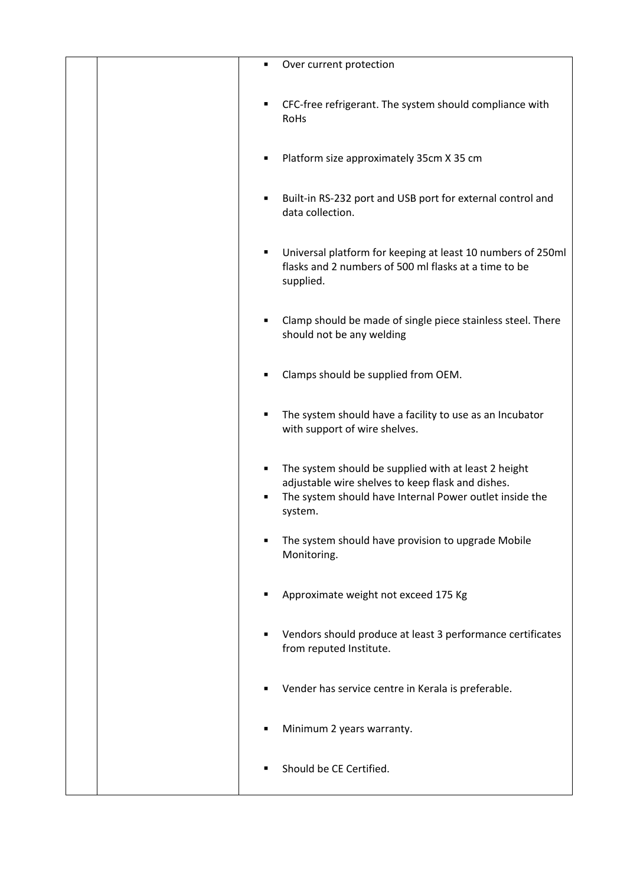| Over current protection<br>٠                                                                                                                                                              |
|-------------------------------------------------------------------------------------------------------------------------------------------------------------------------------------------|
| CFC-free refrigerant. The system should compliance with<br>٠<br>RoHs                                                                                                                      |
| Platform size approximately 35cm X 35 cm<br>٠                                                                                                                                             |
| Built-in RS-232 port and USB port for external control and<br>٠<br>data collection.                                                                                                       |
| Universal platform for keeping at least 10 numbers of 250ml<br>٠<br>flasks and 2 numbers of 500 ml flasks at a time to be<br>supplied.                                                    |
| Clamp should be made of single piece stainless steel. There<br>٠<br>should not be any welding                                                                                             |
| Clamps should be supplied from OEM.<br>٠                                                                                                                                                  |
| The system should have a facility to use as an Incubator<br>٠<br>with support of wire shelves.                                                                                            |
| The system should be supplied with at least 2 height<br>٠<br>adjustable wire shelves to keep flask and dishes.<br>The system should have Internal Power outlet inside the<br>٠<br>system. |
| The system should have provision to upgrade Mobile<br>٠<br>Monitoring.                                                                                                                    |
| Approximate weight not exceed 175 Kg<br>٠                                                                                                                                                 |
| Vendors should produce at least 3 performance certificates<br>from reputed Institute.                                                                                                     |
| Vender has service centre in Kerala is preferable.<br>٠                                                                                                                                   |
| Minimum 2 years warranty.<br>٠                                                                                                                                                            |
| Should be CE Certified.<br>٠                                                                                                                                                              |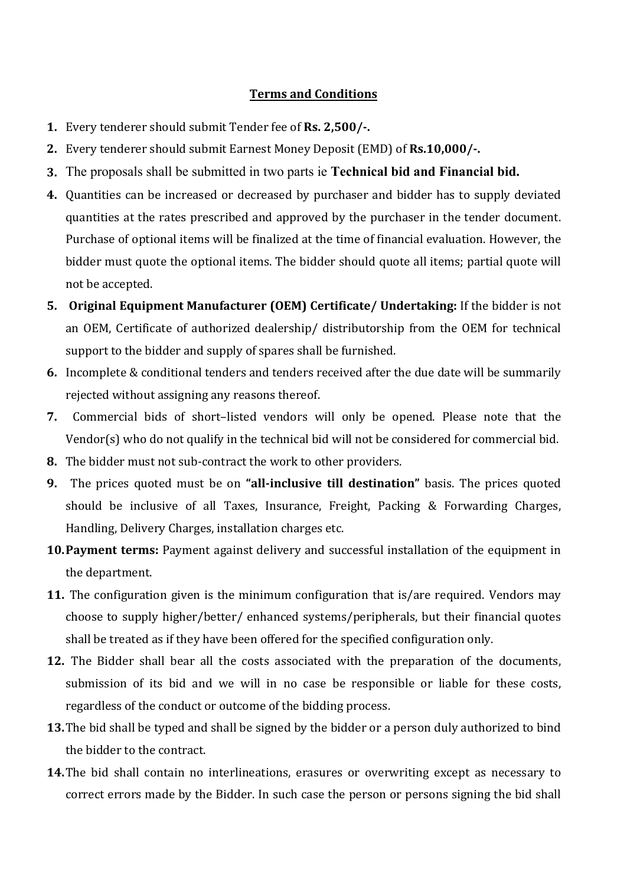### **Terms and Conditions**

- **1.** Every tenderer should submit Tender fee of **Rs. 2,500/-.**
- **2.** Every tenderer should submit Earnest Money Deposit (EMD) of **Rs.10,000/-.**
- **3.** The proposals shall be submitted in two parts ie **Technical bid and Financial bid.**
- **4.** Quantities can be increased or decreased by purchaser and bidder has to supply deviated quantities at the rates prescribed and approved by the purchaser in the tender document. Purchase of optional items will be finalized at the time of financial evaluation. However, the bidder must quote the optional items. The bidder should quote all items; partial quote will not be accepted.
- **5. Original Equipment Manufacturer (OEM) Certificate/ Undertaking:** If the bidder is not an OEM, Certificate of authorized dealership/ distributorship from the OEM for technical support to the bidder and supply of spares shall be furnished.
- **6.** Incomplete & conditional tenders and tenders received after the due date will be summarily rejected without assigning any reasons thereof.
- **7.** Commercial bids of short–listed vendors will only be opened. Please note that the Vendor(s) who do not qualify in the technical bid will not be considered for commercial bid.
- **8.** The bidder must not sub-contract the work to other providers.
- **9.** The prices quoted must be on **"all-inclusive till destination"** basis. The prices quoted should be inclusive of all Taxes, Insurance, Freight, Packing & Forwarding Charges, Handling, Delivery Charges, installation charges etc.
- **10.Payment terms:** Payment against delivery and successful installation of the equipment in the department.
- **11.** The configuration given is the minimum configuration that is/are required. Vendors may choose to supply higher/better/ enhanced systems/peripherals, but their financial quotes shall be treated as if they have been offered for the specified configuration only.
- **12.** The Bidder shall bear all the costs associated with the preparation of the documents, submission of its bid and we will in no case be responsible or liable for these costs, regardless of the conduct or outcome of the bidding process.
- **13.**The bid shall be typed and shall be signed by the bidder or a person duly authorized to bind the bidder to the contract.
- **14.**The bid shall contain no interlineations, erasures or overwriting except as necessary to correct errors made by the Bidder. In such case the person or persons signing the bid shall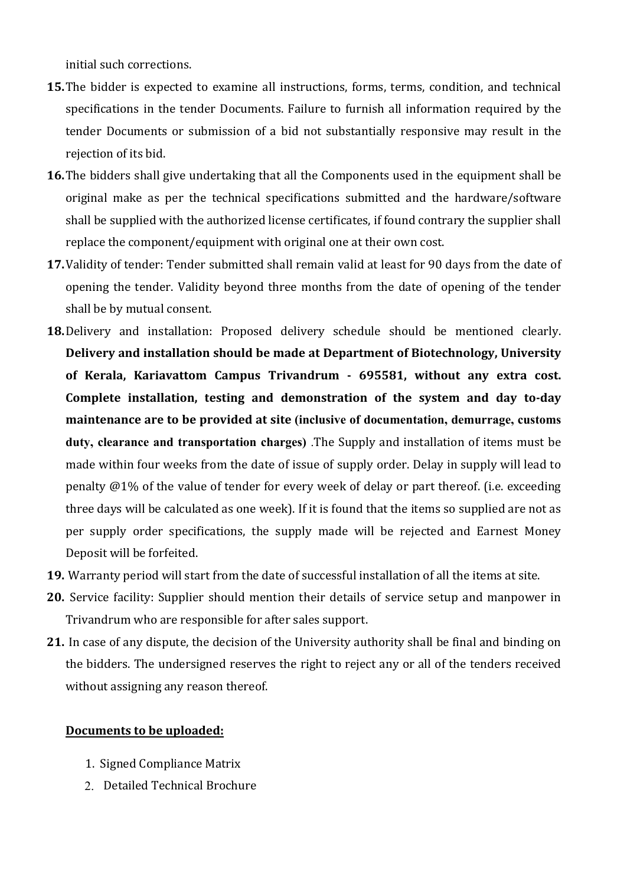initial such corrections.

- **15.**The bidder is expected to examine all instructions, forms, terms, condition, and technical specifications in the tender Documents. Failure to furnish all information required by the tender Documents or submission of a bid not substantially responsive may result in the rejection of its bid.
- **16.**The bidders shall give undertaking that all the Components used in the equipment shall be original make as per the technical specifications submitted and the hardware/software shall be supplied with the authorized license certificates, if found contrary the supplier shall replace the component/equipment with original one at their own cost.
- **17.**Validity of tender: Tender submitted shall remain valid at least for 90 days from the date of opening the tender. Validity beyond three months from the date of opening of the tender shall be by mutual consent.
- **18.**Delivery and installation: Proposed delivery schedule should be mentioned clearly. **Delivery and installation should be made at Department of Biotechnology, University of Kerala, Kariavattom Campus Trivandrum - 695581, without any extra cost. Complete installation, testing and demonstration of the system and day to-day maintenance are to be provided at site (inclusive of documentation, demurrage, customs duty, clearance and transportation charges)** .The Supply and installation of items must be made within four weeks from the date of issue of supply order. Delay in supply will lead to penalty @1% of the value of tender for every week of delay or part thereof. (i.e. exceeding three days will be calculated as one week). If it is found that the items so supplied are not as per supply order specifications, the supply made will be rejected and Earnest Money Deposit will be forfeited.
- **19.** Warranty period will start from the date of successful installation of all the items at site.
- **20.** Service facility: Supplier should mention their details of service setup and manpower in Trivandrum who are responsible for after sales support.
- **21.** In case of any dispute, the decision of the University authority shall be final and binding on the bidders. The undersigned reserves the right to reject any or all of the tenders received without assigning any reason thereof.

#### **Documents to be uploaded:**

- 1. Signed Compliance Matrix
- 2. Detailed Technical Brochure